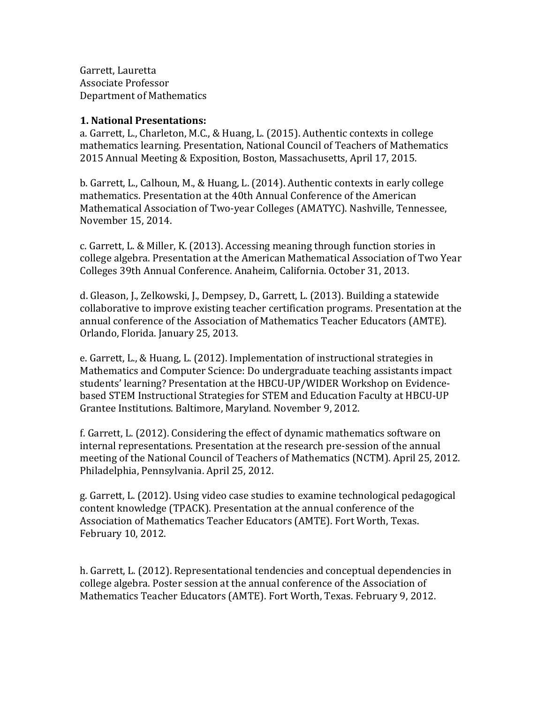Garrett, Lauretta Associate Professor Department of Mathematics

## **1. National Presentations:**

a. Garrett, L., Charleton, M.C., & Huang, L. (2015). Authentic contexts in college mathematics learning. Presentation, National Council of Teachers of Mathematics 2015 Annual Meeting & Exposition, Boston, Massachusetts, April 17, 2015.

b. Garrett, L., Calhoun, M., & Huang, L. (2014). Authentic contexts in early college mathematics. Presentation at the 40th Annual Conference of the American Mathematical Association of Two-year Colleges (AMATYC). Nashville, Tennessee, November 15, 2014.

c. Garrett, L. & Miller, K. (2013). Accessing meaning through function stories in college algebra. Presentation at the American Mathematical Association of Two Year Colleges 39th Annual Conference. Anaheim, California. October 31, 2013.

d. Gleason, J., Zelkowski, J., Dempsey, D., Garrett, L. (2013). Building a statewide collaborative to improve existing teacher certification programs. Presentation at the annual conference of the Association of Mathematics Teacher Educators (AMTE). Orlando, Florida. January 25, 2013.

e. Garrett, L., & Huang, L. (2012). Implementation of instructional strategies in Mathematics and Computer Science: Do undergraduate teaching assistants impact students' learning? Presentation at the HBCU-UP/WIDER Workshop on Evidencebased STEM Instructional Strategies for STEM and Education Faculty at HBCU-UP Grantee Institutions. Baltimore, Maryland. November 9, 2012.

f. Garrett, L. (2012). Considering the effect of dynamic mathematics software on internal representations. Presentation at the research pre-session of the annual meeting of the National Council of Teachers of Mathematics (NCTM). April 25, 2012. Philadelphia, Pennsylvania. April 25, 2012.

g. Garrett, L. (2012). Using video case studies to examine technological pedagogical content knowledge (TPACK). Presentation at the annual conference of the Association of Mathematics Teacher Educators (AMTE). Fort Worth, Texas. February 10, 2012.

h. Garrett, L. (2012). Representational tendencies and conceptual dependencies in college algebra. Poster session at the annual conference of the Association of Mathematics Teacher Educators (AMTE). Fort Worth, Texas. February 9, 2012.